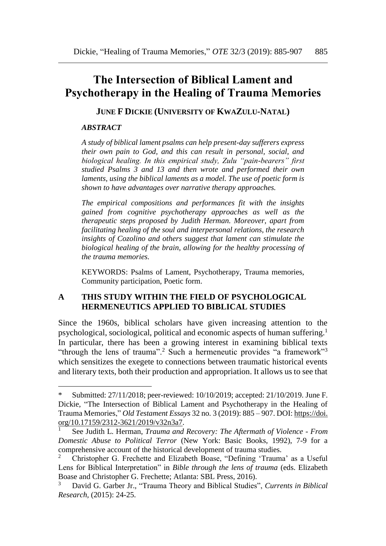# **The Intersection of Biblical Lament and Psychotherapy in the Healing of Trauma Memories**

**JUNE F DICKIE (UNIVERSITY OF KWAZULU-NATAL)**

#### *ABSTRACT*

 $\overline{a}$ 

*A study of biblical lament psalms can help present-day sufferers express their own pain to God, and this can result in personal, social, and biological healing. In this empirical study, Zulu "pain-bearers" first studied Psalms 3 and 13 and then wrote and performed their own laments, using the biblical laments as a model. The use of poetic form is shown to have advantages over narrative therapy approaches.* 

*The empirical compositions and performances fit with the insights gained from cognitive psychotherapy approaches as well as the therapeutic steps proposed by Judith Herman. Moreover, apart from facilitating healing of the soul and interpersonal relations, the research insights of Cozolino and others suggest that lament can stimulate the biological healing of the brain, allowing for the healthy processing of the trauma memories.* 

KEYWORDS: Psalms of Lament, Psychotherapy, Trauma memories, Community participation, Poetic form.

## **A THIS STUDY WITHIN THE FIELD OF PSYCHOLOGICAL HERMENEUTICS APPLIED TO BIBLICAL STUDIES**

Since the 1960s, biblical scholars have given increasing attention to the psychological, sociological, political and economic aspects of human suffering.<sup>1</sup> In particular, there has been a growing interest in examining biblical texts "through the lens of trauma".<sup>2</sup> Such a hermeneutic provides "a framework"<sup>3</sup> which sensitizes the exegete to connections between traumatic historical events and literary texts, both their production and appropriation. It allows us to see that

Submitted: 27/11/2018; peer-reviewed: 10/10/2019; accepted: 21/10/2019. June F. Dickie, "The Intersection of Biblical Lament and Psychotherapy in the Healing of Trauma Memories," *Old Testament Essays* 32 no. 3 (2019): 885 – 907. DOI: [https://doi.](https://doi.org/10.17159/2312-3621/2019/v32n3a7) [org/10.17159/2312-3621/2019/v32n3a7.](https://doi.org/10.17159/2312-3621/2019/v32n3a7)

<sup>1</sup> See Judith L. Herman, *Trauma and Recovery: The Aftermath of Violence - From Domestic Abuse to Political Terror* (New York: Basic Books, 1992), 7-9 for a comprehensive account of the historical development of trauma studies.

<sup>2</sup> Christopher G. Frechette and Elizabeth Boase, "Defining 'Trauma' as a Useful Lens for Biblical Interpretation" in *Bible through the lens of trauma* (eds. Elizabeth Boase and Christopher G. Frechette; Atlanta: SBL Press, 2016).

<sup>3</sup> David G. [Garber Jr.,](https://journals.sagepub.com/doi/abs/10.1177/1476993X14561176) "Trauma Theory and Biblical Studies", *Currents in Biblical Research,* (2015): 24-25.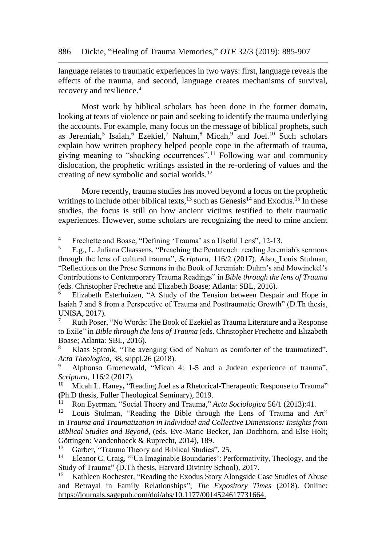language relates to traumatic experiences in two ways: first, language reveals the effects of the trauma, and second, language creates mechanisms of survival, recovery and resilience.<sup>4</sup>

Most work by biblical scholars has been done in the former domain, looking at texts of violence or pain and seeking to identify the trauma underlying the accounts. For example, many focus on the message of biblical prophets, such as Jeremiah,<sup>5</sup> Isaiah,<sup>6</sup> Ezekiel,<sup>7</sup> Nahum,<sup>8</sup> Micah,<sup>9</sup> and Joel.<sup>10</sup> Such scholars explain how written prophecy helped people cope in the aftermath of trauma, giving meaning to "shocking occurrences".<sup>11</sup> Following war and community dislocation, the prophetic writings assisted in the re-ordering of values and the creating of new symbolic and social worlds.<sup>12</sup>

More recently, trauma studies has moved beyond a focus on the prophetic writings to include other biblical texts,<sup>13</sup> such as Genesis<sup>14</sup> and Exodus.<sup>15</sup> In these studies, the focus is still on how ancient victims testified to their traumatic experiences. However, some scholars are recognizing the need to mine ancient

<sup>&</sup>lt;sup>4</sup> Frechette and Boase, "Defining 'Trauma' as a Useful Lens", 12-13.

<sup>5</sup> E.g., L. Juliana Claassens, "Preaching the Pentateuch: reading Jeremiah's sermons through the lens of cultural trauma", *[Scriptura](http://www.scielo.org.za/scielo.php?script=sci_serial&pid=2305-445X&lng=en&nrm=iso)*, 116/2 (2017). Also, Louis Stulman, "Reflections on the Prose Sermons in the Book of Jeremiah: Duhm's and Mowinckel's Contributions to Contemporary Trauma Readings" in *Bible through the lens of Trauma*  (eds. Christopher Frechette and Elizabeth Boase; Atlanta: SBL, 2016).

<sup>6</sup> Elizabeth Esterhuizen, "A Study of the Tension between Despair and Hope in Isaiah 7 and 8 from a Perspective of Trauma and Posttraumatic Growth" (D.Th thesis, UNISA, 2017).

<sup>7</sup> Ruth Poser, "No Words: The Book of Ezekiel as Trauma Literature and a Response to Exile" in *Bible through the lens of Trauma* (eds. Christopher Frechette and Elizabeth Boase; Atlanta: SBL, 2016).

Klaas Spronk, "The avenging God of Nahum as comforter of the traumatized". *[Acta Theologica](http://www.scielo.org.za/scielo.php?script=sci_serial&pid=1015-8758&lng=en&nrm=iso)*, 38, suppl.26 (2018).

Alphonso Groenewald, ["Micah 4: 1-5 and a Judean experience of trauma"](http://www.scielo.org.za/scielo.php?script=sci_arttext&pid=S2305-445X2017000100015), *Scriptura*, 116/2 (2017).

Micah L. Haney, ["Reading Joel as a Rhetorical-Therapeutic Response to Trauma"](http://search.proquest.com/openview/2b3fab1acb6ba492980707916d2f2830/1?pq-origsite=gscholar&cbl=18750&diss=y) **(**Ph.D thesis, Fuller Theological Seminary), 2019.

<sup>&</sup>lt;sup>11</sup> Ron Eyerman, "Social Theory and Trauma," *Acta Sociologica* 56/1 (2013):41.

Louis Stulman, "Reading the Bible through the Lens of Trauma and Art" in *Trauma and Traumatization in Individual and Collective Dimensions: Insights from Biblical Studies and Beyond*, (eds. Eve-Marie Becker, Jan Dochhorn, and Else Holt; Göttingen: Vandenhoeck & Ruprecht, 2014), 189.<br><sup>13</sup> Garbor, "Trauma Theory and Biblical Studiesi

<sup>&</sup>lt;sup>13</sup> Garber, "Trauma Theory and Biblical Studies", 25.<br><sup>14</sup> Eleanor C. Craig, "'Un Imaginable Boundaries': Pet

Eleanor C. Craig, "'Un Imaginable Boundaries': Performativity, Theology, and the Study of Trauma" (D.Th thesis, Harvard Divinity School), 2017.

<sup>&</sup>lt;sup>15</sup> Kathleen Rochester, "Reading the Exodus Story Alongside Case Studies of Abuse [and Betrayal in Family Relationships"](https://journals.sagepub.com/doi/abs/10.1177/0014524617731664), *The Expository Times* (2018). Online: [https://journals.sagepub.com/doi/abs/10.1177/0014524617731664.](https://journals.sagepub.com/doi/abs/10.1177/0014524617731664)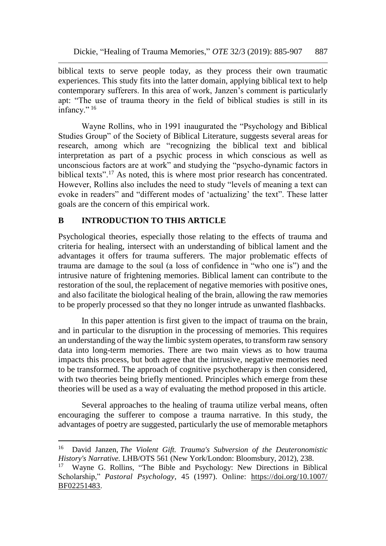biblical texts to serve people today, as they process their own traumatic experiences. This study fits into the latter domain, applying biblical text to help contemporary sufferers. In this area of work, Janzen's comment is particularly apt: "The use of trauma theory in the field of biblical studies is still in its infancy."<sup>16</sup>

Wayne Rollins, who in 1991 inaugurated the "Psychology and Biblical Studies Group" of the Society of Biblical Literature, suggests several areas for research, among which are "recognizing the biblical text and biblical interpretation as part of a psychic process in which conscious as well as unconscious factors are at work" and studying the "psycho-dynamic factors in biblical texts".<sup>17</sup> As noted, this is where most prior research has concentrated. However, Rollins also includes the need to study "levels of meaning a text can evoke in readers" and "different modes of 'actualizing' the text". These latter goals are the concern of this empirical work.

# **B INTRODUCTION TO THIS ARTICLE**

 $\overline{a}$ 

Psychological theories, especially those relating to the effects of trauma and criteria for healing, intersect with an understanding of biblical lament and the advantages it offers for trauma sufferers. The major problematic effects of trauma are damage to the soul (a loss of confidence in "who one is") and the intrusive nature of frightening memories. Biblical lament can contribute to the restoration of the soul, the replacement of negative memories with positive ones, and also facilitate the biological healing of the brain, allowing the raw memories to be properly processed so that they no longer intrude as unwanted flashbacks.

In this paper attention is first given to the impact of trauma on the brain, and in particular to the disruption in the processing of memories. This requires an understanding of the way the limbic system operates, to transform raw sensory data into long-term memories. There are two main views as to how trauma impacts this process, but both agree that the intrusive, negative memories need to be transformed. The approach of cognitive psychotherapy is then considered, with two theories being briefly mentioned. Principles which emerge from these theories will be used as a way of evaluating the method proposed in this article.

Several approaches to the healing of trauma utilize verbal means, often encouraging the sufferer to compose a trauma narrative. In this study, the advantages of poetry are suggested, particularly the use of memorable metaphors

<sup>16</sup> David Janzen, *The Violent Gift. Trauma's Subversion of the Deuteronomistic History's Narrative.* LHB/OTS 561 (New York/London: Bloomsbury, 2012), 238.

<sup>17</sup> Wayne G. Rollins, "The Bible and Psychology: New Directions in Biblical Scholarship," *Pastoral Psychology*, 45 (1997). Online: [https://doi.org/10.1007/](https://doi.org/10.1007/%20BF02251483)  [BF02251483.](https://doi.org/10.1007/%20BF02251483)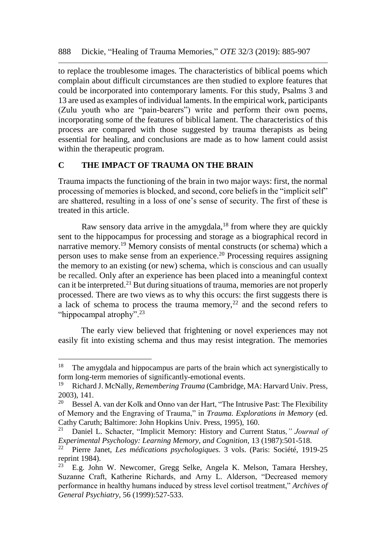to replace the troublesome images. The characteristics of biblical poems which complain about difficult circumstances are then studied to explore features that could be incorporated into contemporary laments. For this study, Psalms 3 and 13 are used as examples of individual laments. In the empirical work, participants (Zulu youth who are "pain-bearers") write and perform their own poems, incorporating some of the features of biblical lament. The characteristics of this process are compared with those suggested by trauma therapists as being essential for healing, and conclusions are made as to how lament could assist within the therapeutic program.

#### **C THE IMPACT OF TRAUMA ON THE BRAIN**

 $\overline{a}$ 

Trauma impacts the functioning of the brain in two major ways: first, the normal processing of memories is blocked, and second, core beliefs in the "implicit self" are shattered, resulting in a loss of one's sense of security. The first of these is treated in this article.

Raw sensory data arrive in the amygdala, $18$  from where they are quickly sent to the hippocampus for processing and storage as a biographical record in narrative memory.<sup>19</sup> Memory consists of mental constructs (or schema) which a person uses to make sense from an experience. <sup>20</sup> Processing requires assigning the memory to an existing (or new) schema, which is conscious and can usually be recalled. Only after an experience has been placed into a meaningful context can it be interpreted.<sup>21</sup> But during situations of trauma, memories are not properly processed. There are two views as to why this occurs: the first suggests there is a lack of schema to process the trauma memory,<sup>22</sup> and the second refers to "hippocampal atrophy".<sup>23</sup>

The early view believed that frightening or novel experiences may not easily fit into existing schema and thus may resist integration. The memories

<sup>&</sup>lt;sup>18</sup> The amygdala and hippocampus are parts of the brain which act synergistically to form long-term memories of significantly-emotional events.

<sup>19</sup> Richard J. McNally, *Remembering Trauma* (Cambridge, MA: Harvard Univ. Press,  $2003$ , 141.<br> $20$  Bessel

<sup>20</sup> Bessel A. van der Kolk and Onno van der Hart, "The Intrusive Past: The Flexibility of Memory and the Engraving of Trauma," in *Trauma. Explorations in Memory* (ed. Cathy Caruth; Baltimore: John Hopkins Univ. Press, 1995), 160.

<sup>21</sup> Daniel L. Schacter, "Implicit Memory: History and Current Status*," Journal of Experimental Psychology: Learning Memory, and Cognition, 13 (1987):501-518.*<br><sup>22</sup> Pierre Janet *Les médications psychologiques* 3 vols (Paris: Société 191

<sup>22</sup> Pierre Janet, *Les médications psychologiques.* 3 vols. (Paris: Société, 1919-25 reprint 1984).

E.g. John W. Newcomer, Gregg Selke, Angela K. Melson, Tamara Hershey, Suzanne Craft, Katherine Richards, and Arny L. Alderson, "Decreased memory performance in healthy humans induced by stress level cortisol treatment," *Archives of General Psychiatry*, 56 (1999):527-533.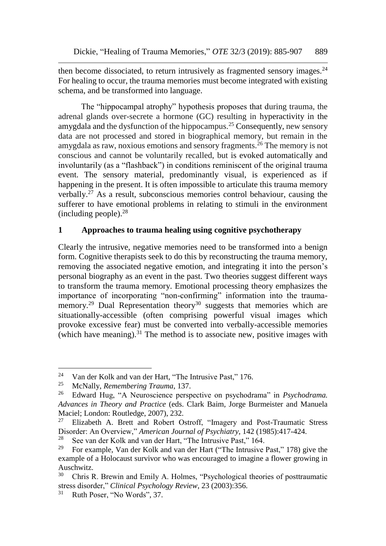then become dissociated, to return intrusively as fragmented sensory images.<sup>24</sup> For healing to occur, the trauma memories must become integrated with existing schema, and be transformed into language.

The "hippocampal atrophy" hypothesis proposes that during trauma, the adrenal glands over-secrete a hormone (GC) resulting in hyperactivity in the amygdala and the dysfunction of the hippocampus.<sup>25</sup> Consequently, new sensory data are not processed and stored in biographical memory, but remain in the amygdala as raw, noxious emotions and sensory fragments.<sup>26</sup> The memory is not conscious and cannot be voluntarily recalled, but is evoked automatically and involuntarily (as a "flashback") in conditions reminiscent of the original trauma event. The sensory material, predominantly visual, is experienced as if happening in the present. It is often impossible to articulate this trauma memory verbally. $27$  As a result, subconscious memories control behaviour, causing the sufferer to have emotional problems in relating to stimuli in the environment (including people).<sup>28</sup>

## **1 Approaches to trauma healing using cognitive psychotherapy**

Clearly the intrusive, negative memories need to be transformed into a benign form. Cognitive therapists seek to do this by reconstructing the trauma memory, removing the associated negative emotion, and integrating it into the person's personal biography as an event in the past. Two theories suggest different ways to transform the trauma memory. Emotional processing theory emphasizes the importance of incorporating "non-confirming" information into the traumamemory.<sup>29</sup> Dual Representation theory<sup>30</sup> suggests that memories which are situationally-accessible (often comprising powerful visual images which provoke excessive fear) must be converted into verbally-accessible memories (which have meaning).<sup>31</sup> The method is to associate new, positive images with

<sup>24</sup> <sup>24</sup> Van der Kolk and van der Hart, "The Intrusive Past," 176.<br><sup>25</sup> MeNally, Remembering Trauma, 137

<sup>25</sup> McNally, *Remembering Trauma*, 137.

<sup>26</sup> Edward Hug, "A Neuroscience perspective on psychodrama" in *Psychodrama. Advances in Theory and Practice* (eds. Clark Baim, Jorge Burmeister and Manuela Maciel; London: Routledge, 2007), 232.

<sup>&</sup>lt;sup>27</sup> Elizabeth A. Brett and Robert Ostroff, "Imagery and Post-Traumatic Stress Disorder: An Overview," *American Journal of Psychiatry*, 142 (1985):417-424.<br><sup>28</sup> See van der Kolk and van der Hart. "The Intrusive Past." 164

<sup>&</sup>lt;sup>28</sup> See van der Kolk and van der Hart, "The Intrusive Past," 164.<br><sup>29</sup> Eor example, Van der Kolk and van der Hart ("The Intrusive

<sup>29</sup> For example, Van der Kolk and van der Hart ("The Intrusive Past," 178) give the example of a Holocaust survivor who was encouraged to imagine a flower growing in Auschwitz.<br><sup>30</sup> Chris E

<sup>30</sup> Chris R. Brewin and Emily A. Holmes, "Psychological theories of posttraumatic stress disorder," *Clinical Psychology Review*, 23 (2003):356.

<sup>&</sup>lt;sup>31</sup> Ruth Poser, "No Words", 37.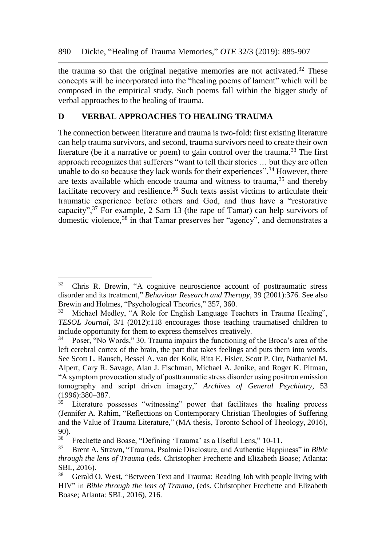the trauma so that the original negative memories are not activated.<sup>32</sup> These concepts will be incorporated into the "healing poems of lament" which will be composed in the empirical study. Such poems fall within the bigger study of verbal approaches to the healing of trauma.

# **D VERBAL APPROACHES TO HEALING TRAUMA**

The connection between literature and trauma is two-fold: first existing literature can help trauma survivors, and second, trauma survivors need to create their own literature (be it a narrative or poem) to gain control over the trauma.<sup>33</sup> The first approach recognizes that sufferers "want to tell their stories … but they are often unable to do so because they lack words for their experiences".<sup>34</sup> However, there are texts available which encode trauma and witness to trauma,  $35$  and thereby facilitate recovery and resilience.<sup>36</sup> Such texts assist victims to articulate their traumatic experience before others and God, and thus have a "restorative capacity",<sup>37</sup> For example, 2 Sam 13 (the rape of Tamar) can help survivors of domestic violence,<sup>38</sup> in that Tamar preserves her "agency", and demonstrates a

l

<sup>&</sup>lt;sup>32</sup> Chris R. Brewin, "A cognitive neuroscience account of posttraumatic stress disorder and its treatment," *Behaviour Research and Therapy,* 39 (2001):376. See also Brewin and Holmes, "Psychological Theories," 357, 360.

<sup>33</sup> Michael Medley, "A Role for English Language Teachers in Trauma Healing", *TESOL Journal*, 3/1 (2012):118 encourages those teaching traumatised children to include opportunity for them to express themselves creatively.<br> $^{34}$  Poser "No Words" 30 Trauma impairs the functioning of

<sup>34</sup> Poser, "No Words," 30. Trauma impairs the functioning of the Broca's area of the left cerebral cortex of the brain, the part that takes feelings and puts them into words. See Scott L. Rausch, Bessel A. van der Kolk, Rita E. Fisler, Scott P. Orr, Nathaniel M. Alpert, Cary R. Savage, Alan J. Fischman, Michael A. Jenike, and Roger K. Pitman, "A symptom provocation study of posttraumatic stress disorder using positron emission tomography and script driven imagery," *Archives of General Psychiatry,* 53  $(1996):380-387.$ <sup>35</sup> I iterature n

Literature possesses "witnessing" power that facilitates the healing process (Jennifer A. Rahim, "Reflections on Contemporary Christian Theologies of Suffering and the Value of Trauma Literature," (MA thesis, Toronto School of Theology, 2016), 90).

<sup>&</sup>lt;sup>36</sup> Frechette and Boase, "Defining 'Trauma' as a Useful Lens," 10-11.<br><sup>37</sup> Brent A Strawn, "Trauma Pealmic Disclosure and Authentic Hann

<sup>37</sup> Brent A. Strawn, "Trauma, Psalmic Disclosure, and Authentic Happiness" in *Bible through the lens of Trauma* (eds. Christopher Frechette and Elizabeth Boase; Atlanta: SBL, 2016).

<sup>&</sup>lt;sup>38</sup> Gerald O. West, "Between Text and Trauma: Reading Job with people living with HIV" in *Bible through the lens of Trauma,* (eds. Christopher Frechette and Elizabeth Boase; Atlanta: SBL, 2016), 216.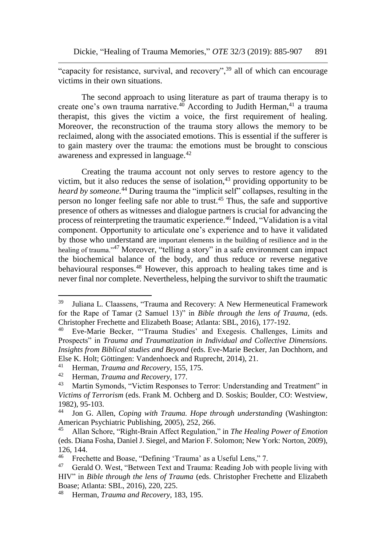"capacity for resistance, survival, and recovery",<sup>39</sup> all of which can encourage victims in their own situations.

The second approach to using literature as part of trauma therapy is to create one's own trauma narrative.<sup>40</sup> According to Judith Herman,<sup>41</sup> a trauma therapist, this gives the victim a voice, the first requirement of healing. Moreover, the reconstruction of the trauma story allows the memory to be reclaimed, along with the associated emotions. This is essential if the sufferer is to gain mastery over the trauma: the emotions must be brought to conscious awareness and expressed in language.<sup>42</sup>

Creating the trauma account not only serves to restore agency to the victim, but it also reduces the sense of isolation, $43$  providing opportunity to be *heard by someone.*<sup>44</sup> During trauma the "implicit self" collapses, resulting in the person no longer feeling safe nor able to trust.<sup>45</sup> Thus, the safe and supportive presence of others as witnesses and dialogue partners is crucial for advancing the process of reinterpreting the traumatic experience.<sup>46</sup> Indeed, "Validation is a vital component. Opportunity to articulate one's experience and to have it validated by those who understand are important elements in the building of resilience and in the healing of trauma."<sup>47</sup> Moreover, "telling a story" in a safe environment can impact the biochemical balance of the body, and thus reduce or reverse negative behavioural responses.<sup>48</sup> However, this approach to healing takes time and is never final nor complete. Nevertheless, helping the survivor to shift the traumatic

l

<sup>39</sup> Juliana L. Claassens, "Trauma and Recovery: A New Hermeneutical Framework for the Rape of Tamar (2 Samuel 13)" in *Bible through the lens of Trauma,* (eds. Christopher Frechette and Elizabeth Boase; Atlanta: SBL, 2016), 177-192.<br><sup>40</sup> Eve-Marie, Becker, "Trauma Studies' and Exegesis, Challenges

<sup>40</sup> Eve-Marie Becker, "'Trauma Studies' and Exegesis. Challenges, Limits and Prospects" in *Trauma and Traumatization in Individual and Collective Dimensions. Insights from Biblical studies and Beyond* (eds*.* Eve-Marie Becker, Jan Dochhorn, and Else K. Holt; Göttingen: Vandenhoeck and Ruprecht, 2014), 21.<br><sup>41</sup> Herman *Trauma and Bacovery*, 155, 175

<sup>&</sup>lt;sup>41</sup> Herman, *Trauma and Recovery*, 155, 175.<br><sup>42</sup> Horman, *Trauma and Pecovery*, 177

<sup>&</sup>lt;sup>42</sup> Herman, *Trauma and Recovery*, 177.<br><sup>43</sup> Martin Symonds "Victim Responses

Martin Symonds, "Victim Responses to Terror: Understanding and Treatment" in *Victims of Terrorism* (eds. Frank M. Ochberg and D. Soskis; Boulder, CO: Westview, 1982), 95-103.<br><sup>44</sup> Ion G. All

<sup>44</sup> Jon G. Allen, *Coping with Trauma. Hope through understanding* (Washington: American Psychiatric Publishing, 2005), 252, 266.<br><sup>45</sup> Allan Schore "Right-Brain Affect Regulation.

<sup>45</sup> Allan Schore, "Right-Brain Affect Regulation," in *The Healing Power of Emotion*  (eds. Diana Fosha, Daniel J. Siegel, and Marion F. Solomon; New York: Norton, 2009),  $126, 144.$ 

<sup>46</sup> Frechette and Boase, "Defining 'Trauma' as a Useful Lens," 7.

 $47$  Gerald O. West, "Between Text and Trauma: Reading Job with people living with HIV" in *Bible through the lens of Trauma* (eds. Christopher Frechette and Elizabeth Boase; Atlanta: SBL, 2016), 220, 225.

<sup>48</sup> Herman, *Trauma and Recovery*, 183, 195.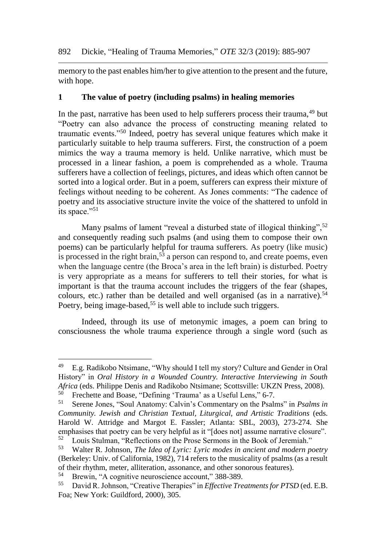memory to the past enables him/her to give attention to the present and the future, with hope.

## **1 The value of poetry (including psalms) in healing memories**

In the past, narrative has been used to help sufferers process their trauma, <sup>49</sup> but "Poetry can also advance the process of constructing meaning related to traumatic events."<sup>50</sup> Indeed, poetry has several unique features which make it particularly suitable to help trauma sufferers. First, the construction of a poem mimics the way a trauma memory is held. Unlike narrative, which must be processed in a linear fashion, a poem is comprehended as a whole. Trauma sufferers have a collection of feelings, pictures, and ideas which often cannot be sorted into a logical order. But in a poem, sufferers can express their mixture of feelings without needing to be coherent. As Jones comments: "The cadence of poetry and its associative structure invite the voice of the shattered to unfold in its space."<sup>51</sup>

Many psalms of lament "reveal a disturbed state of illogical thinking",<sup>52</sup> and consequently reading such psalms (and using them to compose their own poems) can be particularly helpful for trauma sufferers. As poetry (like music) is processed in the right brain,  $5\overline{3}$  a person can respond to, and create poems, even when the language centre (the Broca's area in the left brain) is disturbed. Poetry is very appropriate as a means for sufferers to tell their stories, for what is important is that the trauma account includes the triggers of the fear (shapes, colours, etc.) rather than be detailed and well organised (as in a narrative).<sup>54</sup> Poetry, being image-based,<sup>55</sup> is well able to include such triggers.

Indeed, through its use of metonymic images, a poem can bring to consciousness the whole trauma experience through a single word (such as

<sup>49</sup> E.g. Radikobo Ntsimane, "Why should I tell my story? Culture and Gender in Oral History" in *Oral History in a Wounded Country. Interactive Interviewing in South Africa* (eds. Philippe Denis and Radikobo Ntsimane; Scottsville: UKZN Press, 2008). <sup>50</sup> Frechette and Boase, "Defining 'Trauma' as a Useful Lens," 6-7.<br> $\frac{51}{2}$  Serona Jones, "Soul Anatomy: Colvin's Commentary on the Boals

<sup>51</sup> Serene Jones, "Soul Anatomy: Calvin's Commentary on the Psalms" in *Psalms in Community. Jewish and Christian Textual, Liturgical, and Artistic Traditions* (eds. Harold W. Attridge and Margot E. Fassler; Atlanta: SBL, 2003), 273-274. She emphasises that poetry can be very helpful as it "[does not] assume narrative closure".<br>
<sup>52</sup> I ouis Stulman, "Peflections on the Prose Sermons in the Book of Jeremiah" <sup>52</sup> Louis Stulman, "Reflections on the Prose Sermons in the Book of Jeremiah."<br><sup>53</sup> Walter R. Johnson *The Idea of Lyric: Lyric modes in ancient and modern ne* 

<sup>53</sup> Walter R. Johnson, *The Idea of Lyric: Lyric modes in ancient and modern poetry* (Berkeley: Univ. of California, 1982), 714 refers to the musicality of psalms (as a result of their rhythm, meter, alliteration, assonance, and other sonorous features).

<sup>&</sup>lt;sup>54</sup> Brewin, "A cognitive neuroscience account," 388-389.<br><sup>55</sup> David R, Johnson "Creative Therapies" in *Effective Tra* 

<sup>55</sup> David R. Johnson, "Creative Therapies" in *Effective Treatments for PTSD* (ed. E.B. Foa; New York: Guildford, 2000), 305.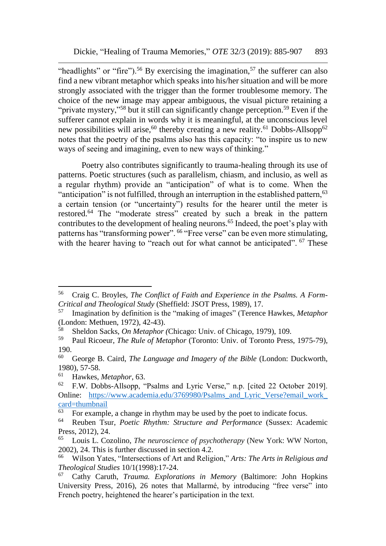"headlights" or "fire").<sup>56</sup> By exercising the imagination,<sup>57</sup> the sufferer can also find a new vibrant metaphor which speaks into his/her situation and will be more strongly associated with the trigger than the former troublesome memory. The choice of the new image may appear ambiguous, the visual picture retaining a "private mystery,"<sup>58</sup> but it still can significantly change perception.<sup>59</sup> Even if the sufferer cannot explain in words why it is meaningful, at the unconscious level new possibilities will arise,<sup>60</sup> thereby creating a new reality.<sup>61</sup> Dobbs-Allsopp<sup>62</sup> notes that the poetry of the psalms also has this capacity: "to inspire us to new ways of seeing and imagining, even to new ways of thinking."

Poetry also contributes significantly to trauma-healing through its use of patterns. Poetic structures (such as parallelism, chiasm, and inclusio, as well as a regular rhythm) provide an "anticipation" of what is to come. When the "anticipation" is not fulfilled, through an interruption in the established pattern,  $63$ a certain tension (or "uncertainty") results for the hearer until the meter is restored.<sup>64</sup> The "moderate stress" created by such a break in the pattern contributes to the development of healing neurons.<sup>65</sup> Indeed, the poet's play with patterns has "transforming power". <sup>66</sup> "Free verse" can be even more stimulating, with the hearer having to "reach out for what cannot be anticipated". <sup>67</sup> These

<sup>56</sup> Craig C. Broyles, *The Conflict of Faith and Experience in the Psalms. A Form-Critical and Theological Study* (Sheffield: JSOT Press, 1989), 17.

<sup>57</sup> Imagination by definition is the "making of images" (Terence Hawkes, *Metaphor*  (London: Methuen, 1972), 42-43).<br> $58$  Sheldon Sacks, On Metaphor.

<sup>58</sup> Sheldon Sacks, *On Metaphor (*Chicago: Univ. of Chicago, 1979), 109.

<sup>59</sup> Paul Ricoeur, *The Rule of Metaphor* (Toronto: Univ. of Toronto Press, 1975-79), 190.

<sup>60</sup> George B. Caird, *The Language and Imagery of the Bible* (London: Duckworth, 1980), 57-58.<br> $^{61}$  Hayles

<sup>61</sup> Hawkes, *Metaphor*, 63.

<sup>62</sup> F.W. Dobbs-Allsopp, "Psalms and Lyric Verse," n.p. [cited 22 October 2019]. Online: https://www.academia.edu/3769980/Psalms and Lyric Verse?email\_work  $\frac{\text{card}=\text{thumbnail}}{63 \text{ For example}}$ 

 $^{63}$  For example, a change in rhythm may be used by the poet to indicate focus.<br> $^{64}$  Reuben Tsur, *Poetic Rhythm: Structure and Performance (Sussex: Aca* 

<sup>64</sup> Reuben Tsur, *Poetic Rhythm: Structure and Performance* (Sussex: Academic Press, 2012), 24.

<sup>65</sup> Louis L. Cozolino, *The neuroscience of psychotherapy* (New York: WW Norton, 2002), 24. This is further discussed in section 4.2.

<sup>66</sup> Wilson Yates, "Intersections of Art and Religion," *Arts: The Arts in Religious and Theological Studies* 10/1(1998):17-24.

<sup>67</sup> Cathy Caruth, *Trauma. Explorations in Memory* (Baltimore: John Hopkins University Press, 2016), 26 notes that Mallarmé, by introducing "free verse" into French poetry, heightened the hearer's participation in the text.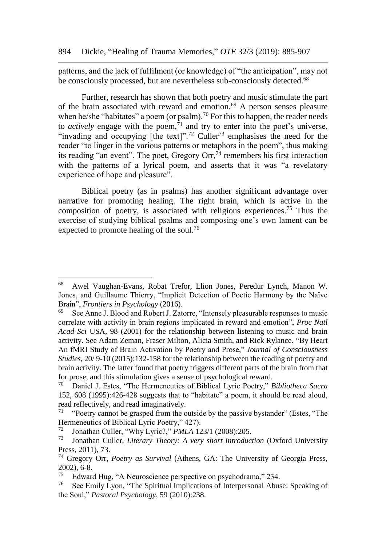patterns, and the lack of fulfilment (or knowledge) of "the anticipation", may not be consciously processed, but are nevertheless sub-consciously detected.<sup>68</sup>

Further, research has shown that both poetry and music stimulate the part of the brain associated with reward and emotion.<sup>69</sup> A person senses pleasure when he/she "habitates" a poem (or psalm).<sup>70</sup> For this to happen, the reader needs to *actively* engage with the poem,  $\frac{1}{1}$  and try to enter into the poet's universe, "invading and occupying [the text]".<sup>72</sup> Culler<sup>73</sup> emphasises the need for the reader "to linger in the various patterns or metaphors in the poem", thus making its reading "an event". The poet, Gregory Orr,  $74$  remembers his first interaction with the patterns of a lyrical poem, and asserts that it was "a revelatory experience of hope and pleasure".

Biblical poetry (as in psalms) has another significant advantage over narrative for promoting healing. The right brain, which is active in the composition of poetry, is associated with religious experiences.<sup>75</sup> Thus the exercise of studying biblical psalms and composing one's own lament can be expected to promote healing of the soul.<sup>76</sup>

l

<sup>68</sup> Awel Vaughan-Evans, Robat Trefor, Llion Jones, Peredur Lynch, Manon W. Jones, and Guillaume Thierry, "Implicit Detection of Poetic Harmony by the Naïve Brain", *Frontiers in Psychology* (2016).

 $69$  See Anne J. Blood and Robert J. Zatorre, "Intensely pleasurable responses to music correlate with activity in brain regions implicated in reward and emotion", *[Proc Natl](https://www.ncbi.nlm.nih.gov/pmc/articles/PMC58814/)  [Acad Sci](https://www.ncbi.nlm.nih.gov/pmc/articles/PMC58814/)* USA, 98 (2001) for the relationship between listening to music and brain activity. See Adam Zeman, Fraser Milton, Alicia Smith, and Rick Rylance, "By Heart An fMRI Study of Brain Activation by Poetry and Prose," *Journal of Consciousness Studies*, 20/ 9-10 (2015):132-158 for the relationship between the reading of poetry and brain activity. The latter found that poetry triggers different parts of the brain from that for prose, and this stimulation gives a sense of psychological reward.<br> $\frac{70}{70}$  Daniel L Estes "The Hermeneutics of Biblical Lyric Poetry"

<sup>70</sup> Daniel J. Estes, "The Hermeneutics of Biblical Lyric Poetry," *Bibliotheca Sacra* 152, 608 (1995):426-428 suggests that to "habitate" a poem, it should be read aloud, read reflectively, and read imaginatively.

 $71$  "Poetry cannot be grasped from the outside by the passive bystander" (Estes, "The Hermeneutics of Biblical Lyric Poetry," 427).

<sup>72</sup> Jonathan Culler, "Why Lyric?," *PMLA* 123/1 (2008):205.

<sup>73</sup> Jonathan Culler, *Literary Theory: A very short introduction* (Oxford University Press, 2011), 73.

<sup>74</sup> Gregory Orr, *Poetry as Survival* (Athens, GA: The University of Georgia Press,  $2002$ ), 6-8.<br><sup>75</sup> Edward

<sup>&</sup>lt;sup>75</sup> Edward Hug, "A Neuroscience perspective on psychodrama," 234.<br><sup>76</sup> See Emily Lyon, "The Spiritual Implications of Interpersonal Abus

<sup>76</sup> See Emily Lyon, "The Spiritual Implications of Interpersonal Abuse: Speaking of the Soul," *Pastoral Psychology*, 59 (2010):238.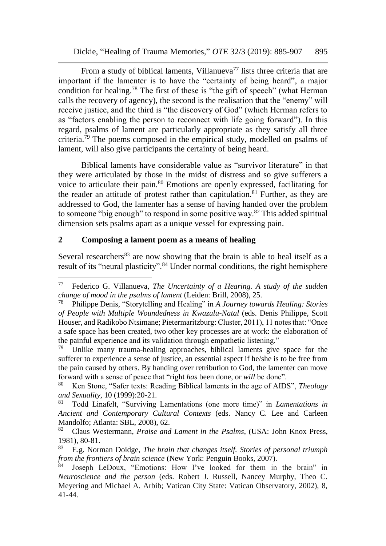From a study of biblical laments, Villanueva<sup>77</sup> lists three criteria that are important if the lamenter is to have the "certainty of being heard", a major condition for healing.<sup>78</sup> The first of these is "the gift of speech" (what Herman calls the recovery of agency), the second is the realisation that the "enemy" will receive justice, and the third is "the discovery of God" (which Herman refers to as "factors enabling the person to reconnect with life going forward"). In this regard, psalms of lament are particularly appropriate as they satisfy all three criteria.<sup>79</sup> The poems composed in the empirical study, modelled on psalms of lament, will also give participants the certainty of being heard.

Biblical laments have considerable value as "survivor literature" in that they were articulated by those in the midst of distress and so give sufferers a voice to articulate their pain.<sup>80</sup> Emotions are openly expressed, facilitating for the reader an attitude of protest rather than capitulation.<sup>81</sup> Further, as they are addressed to God, the lamenter has a sense of having handed over the problem to someone "big enough" to respond in some positive way.<sup>82</sup> This added spiritual dimension sets psalms apart as a unique vessel for expressing pain.

## **2 Composing a lament poem as a means of healing**

l

Several researchers $83$  are now showing that the brain is able to heal itself as a result of its "neural plasticity".<sup>84</sup> Under normal conditions, the right hemisphere

<sup>77</sup> Federico G. Villanueva, *The Uncertainty of a Hearing. A study of the sudden change of mood in the psalms of lament* (Leiden: Brill, 2008), 25.

<sup>78</sup> Philippe Denis, "Storytelling and Healing" in *A Journey towards Healing: Stories of People with Multiple Woundedness in Kwazulu-Natal* (eds. Denis Philippe, Scott Houser, and Radikobo Ntsimane; Pietermaritzburg: Cluster, 2011), 11 notes that: "Once a safe space has been created, two other key processes are at work: the elaboration of the painful experience and its validation through empathetic listening."

 $79$  Unlike many trauma-healing approaches, biblical laments give space for the sufferer to experience a sense of justice, an essential aspect if he/she is to be free from the pain caused by others. By handing over retribution to God, the lamenter can move forward with a sense of peace that "right *has* been done, or *will* be done".

<sup>80</sup> Ken Stone, "Safer texts: Reading Biblical laments in the age of AIDS", *Theology and Sexuality*, 10 (1999):20-21.

<sup>81</sup> Todd Linafelt, "Surviving Lamentations (one more time)" in *Lamentations in Ancient and Contemporary Cultural Contexts* (eds. Nancy C. Lee and Carleen Mandolfo; Atlanta: SBL, 2008), 62.<br><sup>82</sup> Claus Westermann, *Praise and* 

<sup>82</sup> Claus Westermann, *Praise and Lament in the Psalms*, (USA: John Knox Press, 1981), 80-81.

<sup>83</sup> E.g. Norman Doidge, *The brain that changes itself. Stories of personal triumph from the frontiers of brain science* (New York: Penguin Books, 2007).

Joseph LeDoux, "Emotions: How I've looked for them in the brain" in *Neuroscience and the person* (eds. Robert J. Russell, Nancey Murphy, Theo C. Meyering and Michael A. Arbib; Vatican City State: Vatican Observatory, 2002), 8, 41-44.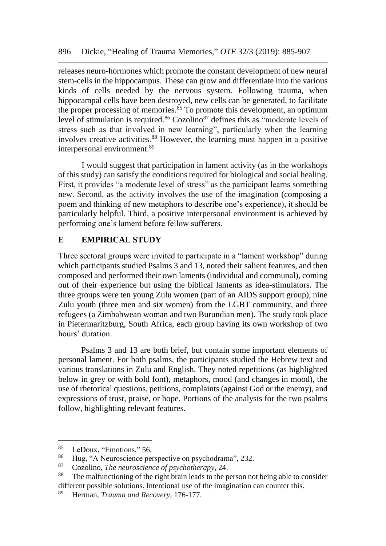releases neuro-hormones which promote the constant development of new neural stem-cells in the hippocampus. These can grow and differentiate into the various kinds of cells needed by the nervous system. Following trauma, when hippocampal cells have been destroyed, new cells can be generated, to facilitate the proper processing of memories.<sup>85</sup> To promote this development, an optimum level of stimulation is required.<sup>86</sup> Cozolino<sup>87</sup> defines this as "moderate levels of stress such as that involved in new learning", particularly when the learning involves creative activities.<sup>88</sup> However, the learning must happen in a positive interpersonal environment.<sup>89</sup>

I would suggest that participation in lament activity (as in the workshops of this study) can satisfy the conditions required for biological and social healing. First, it provides "a moderate level of stress" as the participant learns something new. Second, as the activity involves the use of the imagination (composing a poem and thinking of new metaphors to describe one's experience), it should be particularly helpful. Third, a positive interpersonal environment is achieved by performing one's lament before fellow sufferers.

## **E EMPIRICAL STUDY**

Three sectoral groups were invited to participate in a "lament workshop" during which participants studied Psalms 3 and 13, noted their salient features, and then composed and performed their own laments (individual and communal), coming out of their experience but using the biblical laments as idea-stimulators. The three groups were ten young Zulu women (part of an AIDS support group), nine Zulu youth (three men and six women) from the LGBT community, and three refugees (a Zimbabwean woman and two Burundian men). The study took place in Pietermaritzburg, South Africa, each group having its own workshop of two hours' duration.

Psalms 3 and 13 are both brief, but contain some important elements of personal lament. For both psalms, the participants studied the Hebrew text and various translations in Zulu and English. They noted repetitions (as highlighted below in grey or with bold font), metaphors, mood (and changes in mood), the use of rhetorical questions, petitions, complaints (against God or the enemy), and expressions of trust, praise, or hope. Portions of the analysis for the two psalms follow, highlighting relevant features.

 $^{85}$  LeDoux, "Emotions," 56.<br> $^{86}$  Hug "A Neurosciones no

<sup>&</sup>lt;sup>86</sup> Hug, "A Neuroscience perspective on psychodrama", 232.<br><sup>87</sup> Coroline, The neuroscience of psychotherapy, 24

<sup>87</sup> Cozolino, *The neuroscience of psychotherapy*, 24.

The malfunctioning of the right brain leads to the person not being able to consider different possible solutions. Intentional use of the imagination can counter this.

<sup>89</sup> Herman, *Trauma and Recovery*, 176-177.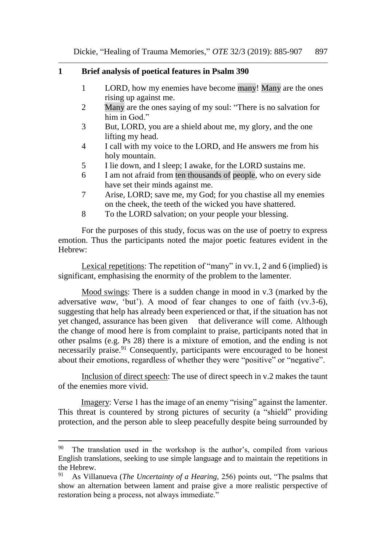#### **1 Brief analysis of poetical features in Psalm 390**

- 1 LORD, how my enemies have become many! Many are the ones rising up against me.
- 2 Many are the ones saying of my soul: "There is no salvation for him in God."
- 3 But, LORD, you are a shield about me, my glory, and the one lifting my head.
- 4 I call with my voice to the LORD, and He answers me from his holy mountain.
- 5 I lie down, and I sleep; I awake, for the LORD sustains me.
- 6 I am not afraid from ten thousands of people, who on every side have set their minds against me.
- 7 Arise, LORD; save me, my God; for you chastise all my enemies on the cheek, the teeth of the wicked you have shattered.
- 8 To the LORD salvation; on your people your blessing.

For the purposes of this study, focus was on the use of poetry to express emotion. Thus the participants noted the major poetic features evident in the Hebrew:

Lexical repetitions: The repetition of "many" in vv.1, 2 and 6 (implied) is significant, emphasising the enormity of the problem to the lamenter.

Mood swings: There is a sudden change in mood in v.3 (marked by the adversative *waw,* 'but'). A mood of fear changes to one of faith (vv.3-6), suggesting that help has already been experienced or that, if the situation has not yet changed, assurance has been given that deliverance will come. Although the change of mood here is from complaint to praise, participants noted that in other psalms (e.g. Ps 28) there is a mixture of emotion, and the ending is not necessarily praise.<sup>91</sup> Consequently, participants were encouraged to be honest about their emotions, regardless of whether they were "positive" or "negative".

Inclusion of direct speech: The use of direct speech in v.2 makes the taunt of the enemies more vivid.

Imagery: Verse 1 has the image of an enemy "rising" against the lamenter. This threat is countered by strong pictures of security (a "shield" providing protection, and the person able to sleep peacefully despite being surrounded by

 $90$  The translation used in the workshop is the author's, compiled from various English translations, seeking to use simple language and to maintain the repetitions in the Hebrew.<br> $91 \text{ A} \times$  Villa

<sup>91</sup> As Villanueva (*The Uncertainty of a Hearing,* 256) points out, "The psalms that show an alternation between lament and praise give a more realistic perspective of restoration being a process, not always immediate."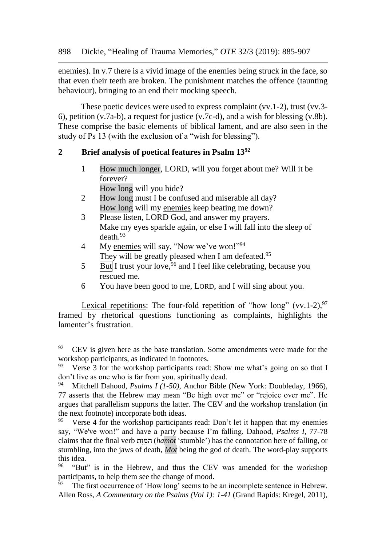enemies). In v.7 there is a vivid image of the enemies being struck in the face, so that even their teeth are broken. The punishment matches the offence (taunting behaviour), bringing to an end their mocking speech.

These poetic devices were used to express complaint (vv.1-2), trust (vv.3- 6), petition (v.7a-b), a request for justice (v.7c-d), and a wish for blessing (v.8b). These comprise the basic elements of biblical lament, and are also seen in the study of Ps 13 (with the exclusion of a "wish for blessing").

# **2 Brief analysis of poetical features in Psalm 13<sup>92</sup>**

1 How much longer, LORD, will you forget about me? Will it be forever?

How long will you hide?

 $\overline{a}$ 

- 2 How long must I be confused and miserable all day? How long will my enemies keep beating me down?
- 3 Please listen, LORD God, and answer my prayers. Make my eyes sparkle again, or else I will fall into the sleep of death.<sup>93</sup>
- 4 My enemies will say, "Now we've won!"<sup>94</sup> They will be greatly pleased when I am defeated.<sup>95</sup>
- $5 \quad$  But I trust your love,  $96$  and I feel like celebrating, because you rescued me.
- 6 You have been good to me, LORD, and I will sing about you.

Lexical repetitions: The four-fold repetition of "how long" (vv.1-2),  $97$ framed by rhetorical questions functioning as complaints, highlights the lamenter's frustration.

 $92$  CEV is given here as the base translation. Some amendments were made for the workshop participants, as indicated in footnotes.<br><sup>93</sup> Verse 3 for the workshop participants read:

Verse 3 for the workshop participants read: Show me what's going on so that I don't live as one who is far from you, spiritually dead.

<sup>94</sup> Mitchell Dahood, *Psalms I (1-50)*, Anchor Bible (New York: Doubleday, 1966), 77 asserts that the Hebrew may mean "Be high over me" or "rejoice over me". He argues that parallelism supports the latter. The CEV and the workshop translation (in the next footnote) incorporate both ideas.

<sup>&</sup>lt;sup>95</sup> Verse 4 for the workshop participants read: Don't let it happen that my enemies say, "We've won!" and have a party because I'm falling. Dahood, *Psalms I*, 77-78 claims that the final verb ת ֶו ָּֽ מ ַה) *hamot* 'stumble') has the connotation here of falling, or stumbling, into the jaws of death, *Mot* being the god of death. The word-play supports this idea.

<sup>&</sup>lt;sup>96</sup> "But" is in the Hebrew, and thus the CEV was amended for the workshop participants, to help them see the change of mood.<br> $\frac{97}{2}$ . The first is

The first occurrence of 'How long' seems to be an incomplete sentence in Hebrew. Allen Ross, *A Commentary on the Psalms (Vol 1): 1-41* (Grand Rapids: Kregel, 2011),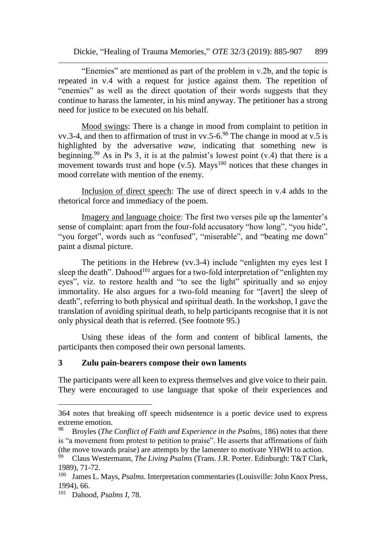"Enemies" are mentioned as part of the problem in v.2b, and the topic is repeated in v.4 with a request for justice against them. The repetition of "enemies" as well as the direct quotation of their words suggests that they continue to harass the lamenter, in his mind anyway. The petitioner has a strong need for justice to be executed on his behalf.

Mood swings: There is a change in mood from complaint to petition in vv.3-4, and then to affirmation of trust in vv.5-6.<sup>98</sup> The change in mood at v.5 is highlighted by the adversative *waw,* indicating that something new is beginning.<sup>99</sup> As in Ps 3, it is at the palmist's lowest point  $(v.4)$  that there is a movement towards trust and hope  $(v.5)$ . Mays<sup>100</sup> notices that these changes in mood correlate with mention of the enemy.

Inclusion of direct speech: The use of direct speech in v.4 adds to the rhetorical force and immediacy of the poem.

Imagery and language choice: The first two verses pile up the lamenter's sense of complaint: apart from the four-fold accusatory "how long", "you hide", "you forget", words such as "confused", "miserable", and "beating me down" paint a dismal picture.

The petitions in the Hebrew (vv.3-4) include "enlighten my eyes lest I sleep the death". Dahood<sup>101</sup> argues for a two-fold interpretation of "enlighten my eyes", viz. to restore health and "to see the light" spiritually and so enjoy immortality. He also argues for a two-fold meaning for "[avert] the sleep of death", referring to both physical and spiritual death. In the workshop, I gave the translation of avoiding spiritual death, to help participants recognise that it is not only physical death that is referred. (See footnote 95.)

Using these ideas of the form and content of biblical laments, the participants then composed their own personal laments.

#### **3 Zulu pain-bearers compose their own laments**

The participants were all keen to express themselves and give voice to their pain. They were encouraged to use language that spoke of their experiences and

<sup>364</sup> notes that breaking off speech midsentence is a poetic device used to express extreme emotion.

<sup>98</sup> Broyles (*The Conflict of Faith and Experience in the Psalms*, 186) notes that there is "a movement from protest to petition to praise". He asserts that affirmations of faith (the move towards praise) are attempts by the lamenter to motivate YHWH to action.<br><sup>99</sup> Claus Westermann, *The Living Psalms* (Trans, LR, Porter, Edinburgh: T&T Clark

<sup>99</sup> Claus Westermann, *The Living Psalms* (Trans. J.R. Porter. Edinburgh: T&T Clark, 1989), 71-72.

<sup>&</sup>lt;sup>100</sup> James L. Mays, *Psalms*. Interpretation commentaries (Louisville: John Knox Press, 1994), 66.

<sup>101</sup> Dahood, *Psalms I*, 78.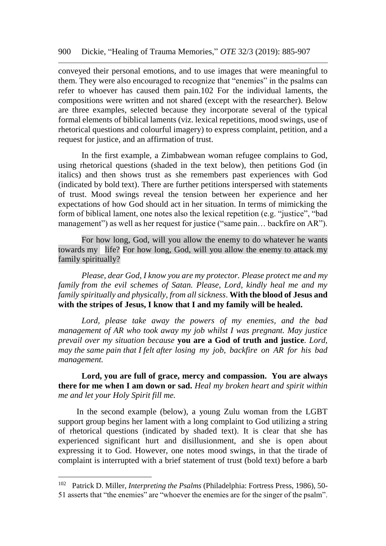conveyed their personal emotions, and to use images that were meaningful to them. They were also encouraged to recognize that "enemies" in the psalms can refer to whoever has caused them pain.102 For the individual laments, the compositions were written and not shared (except with the researcher). Below are three examples, selected because they incorporate several of the typical formal elements of biblical laments (viz. lexical repetitions, mood swings, use of rhetorical questions and colourful imagery) to express complaint, petition, and a request for justice, and an affirmation of trust.

In the first example, a Zimbabwean woman refugee complains to God, using rhetorical questions (shaded in the text below), then petitions God (in italics) and then shows trust as she remembers past experiences with God (indicated by bold text). There are further petitions interspersed with statements of trust. Mood swings reveal the tension between her experience and her expectations of how God should act in her situation. In terms of mimicking the form of biblical lament, one notes also the lexical repetition (e.g. "justice", "bad management") as well as her request for justice ("same pain... backfire on AR").

For how long, God, will you allow the enemy to do whatever he wants towards my life? For how long, God, will you allow the enemy to attack my family spiritually?

*Please, dear God, I know you are my protector. Please protect me and my family from the evil schemes of Satan. Please, Lord, kindly heal me and my family spiritually and physically, from all sickness*. **With the blood of Jesus and with the stripes of Jesus, I know that I and my family will be healed.**

*Lord, please take away the powers of my enemies, and the bad management of AR who took away my job whilst I was pregnant. May justice prevail over my situation because* **you are a God of truth and justice***. Lord, may the same pain that I felt after losing my job, backfire on AR for his bad management.*

**Lord, you are full of grace, mercy and compassion. You are always there for me when I am down or sad.** *Heal my broken heart and spirit within me and let your Holy Spirit fill me.*

In the second example (below), a young Zulu woman from the LGBT support group begins her lament with a long complaint to God utilizing a string of rhetorical questions (indicated by shaded text). It is clear that she has experienced significant hurt and disillusionment, and she is open about expressing it to God. However, one notes mood swings, in that the tirade of complaint is interrupted with a brief statement of trust (bold text) before a barb

<sup>102</sup> <sup>102</sup> Patrick D. Miller, *Interpreting the Psalms* (Philadelphia: Fortress Press, 1986), 50- 51 asserts that "the enemies" are "whoever the enemies are for the singer of the psalm".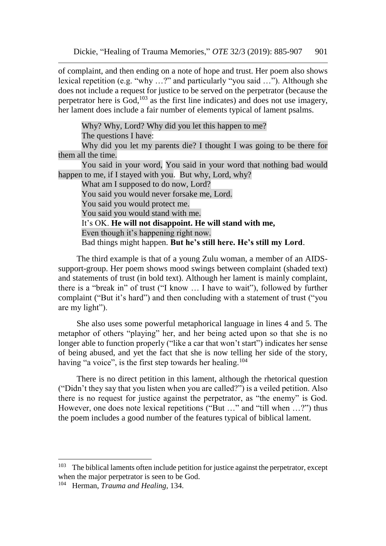of complaint, and then ending on a note of hope and trust. Her poem also shows lexical repetition (e.g. "why …?" and particularly "you said …"). Although she does not include a request for justice to be served on the perpetrator (because the perpetrator here is God,<sup>103</sup> as the first line indicates) and does not use imagery, her lament does include a fair number of elements typical of lament psalms.

Why? Why, Lord? Why did you let this happen to me?

The questions I have:

Why did you let my parents die? I thought I was going to be there for them all the time.

You said in your word, You said in your word that nothing bad would happen to me, if I stayed with you. But why, Lord, why?

What am I supposed to do now, Lord? You said you would never forsake me, Lord. You said you would protect me. You said you would stand with me. It's OK. **He will not disappoint. He will stand with me,** Even though it's happening right now. Bad things might happen. **But he's still here. He's still my Lord**.

The third example is that of a young Zulu woman, a member of an AIDSsupport-group. Her poem shows mood swings between complaint (shaded text) and statements of trust (in bold text). Although her lament is mainly complaint, there is a "break in" of trust ("I know … I have to wait"), followed by further complaint ("But it's hard") and then concluding with a statement of trust ("you are my light").

She also uses some powerful metaphorical language in lines 4 and 5. The metaphor of others "playing" her, and her being acted upon so that she is no longer able to function properly ("like a car that won't start") indicates her sense of being abused, and yet the fact that she is now telling her side of the story, having "a voice", is the first step towards her healing.<sup>104</sup>

There is no direct petition in this lament, although the rhetorical question ("Didn't they say that you listen when you are called?") is a veiled petition. Also there is no request for justice against the perpetrator, as "the enemy" is God. However, one does note lexical repetitions ("But ..." and "till when ...?") thus the poem includes a good number of the features typical of biblical lament.

<sup>&</sup>lt;sup>103</sup> The biblical laments often include petition for justice against the perpetrator, except when the major perpetrator is seen to be God.

<sup>104</sup> Herman, *Trauma and Healing*, 134.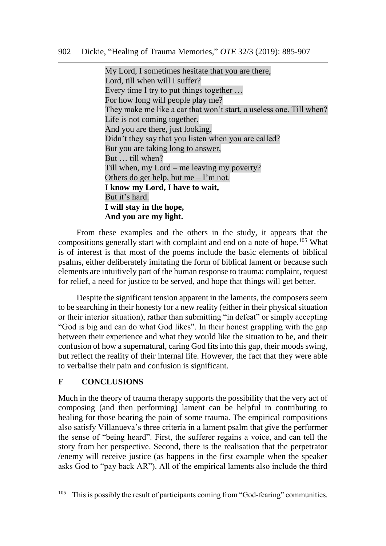My Lord, I sometimes hesitate that you are there, Lord, till when will I suffer? Every time I try to put things together … For how long will people play me? They make me like a car that won't start, a useless one. Till when? Life is not coming together. And you are there, just looking. Didn't they say that you listen when you are called? But you are taking long to answer, But … till when? Till when, my Lord – me leaving my poverty? Others do get help, but me  $-1$ 'm not. **I know my Lord, I have to wait,** But it's hard. **I will stay in the hope, And you are my light.** 

From these examples and the others in the study, it appears that the compositions generally start with complaint and end on a note of hope.<sup>105</sup> What is of interest is that most of the poems include the basic elements of biblical psalms, either deliberately imitating the form of biblical lament or because such elements are intuitively part of the human response to trauma: complaint, request for relief, a need for justice to be served, and hope that things will get better.

Despite the significant tension apparent in the laments, the composers seem to be searching in their honesty for a new reality (either in their physical situation or their interior situation), rather than submitting "in defeat" or simply accepting "God is big and can do what God likes". In their honest grappling with the gap between their experience and what they would like the situation to be, and their confusion of how a supernatural, caring God fits into this gap, their moods swing, but reflect the reality of their internal life. However, the fact that they were able to verbalise their pain and confusion is significant.

# **F CONCLUSIONS**

 $\overline{a}$ 

Much in the theory of trauma therapy supports the possibility that the very act of composing (and then performing) lament can be helpful in contributing to healing for those bearing the pain of some trauma. The empirical compositions also satisfy Villanueva's three criteria in a lament psalm that give the performer the sense of "being heard". First, the sufferer regains a voice, and can tell the story from her perspective. Second, there is the realisation that the perpetrator /enemy will receive justice (as happens in the first example when the speaker asks God to "pay back AR"). All of the empirical laments also include the third

<sup>&</sup>lt;sup>105</sup> This is possibly the result of participants coming from "God-fearing" communities.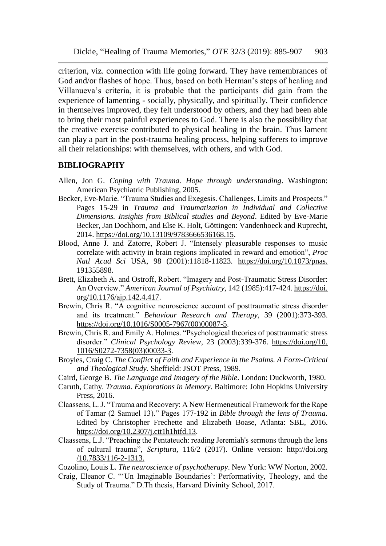criterion, viz. connection with life going forward. They have remembrances of God and/or flashes of hope. Thus, based on both Herman's steps of healing and Villanueva's criteria, it is probable that the participants did gain from the experience of lamenting - socially, physically, and spiritually. Their confidence in themselves improved, they felt understood by others, and they had been able to bring their most painful experiences to God. There is also the possibility that the creative exercise contributed to physical healing in the brain. Thus lament can play a part in the post-trauma healing process, helping sufferers to improve all their relationships: with themselves, with others, and with God.

#### **BIBLIOGRAPHY**

- Allen, Jon G. *Coping with Trauma. Hope through understanding*. Washington: American Psychiatric Publishing, 2005.
- Becker, Eve-Marie. "Trauma Studies and Exegesis. Challenges, Limits and Prospects." Pages 15-29 in *Trauma and Traumatization in Individual and Collective Dimensions. Insights from Biblical studies and Beyond*. Edited by Eve-Marie Becker, Jan Dochhorn, and Else K. Holt, Göttingen: Vandenhoeck and Ruprecht, 2014. [https://doi.org/10.13109/9783666536168.15.](https://doi.org/10.13109/9783666536168.15)
- Blood, Anne J. and Zatorre, Robert J. "Intensely pleasurable responses to music correlate with activity in brain regions implicated in reward and emotion", *Proc Natl Acad Sci* USA, 98 (2001):11818-11823. [https://doi.org/10.1073/pnas.](https://doi.org/10.1073/pnas.%20191355898)  [191355898.](https://doi.org/10.1073/pnas.%20191355898)
- Brett, Elizabeth A. and Ostroff, Robert. "Imagery and Post-Traumatic Stress Disorder: An Overview." *American Journal of Psychiatry*, 142 (1985):417-424. https://doi. org/10.1176/ajp.142.4.417.
- Brewin, Chris R. "A cognitive neuroscience account of posttraumatic stress disorder and its treatment." *Behaviour Research and Therapy,* 39 (2001):373-393. [https://doi.org/10.1016/S0005-7967\(00\)00087-5.](https://doi.org/10.1016/S0005-7967(00)00087-5)
- Brewin, Chris R. and Emily A. Holmes. "Psychological theories of posttraumatic stress disorder." *Clinical Psychology Review*, 23 (2003):339-376. <https://doi.org/10>[.](https://doi.org/10.1016/S0272-7358(03)00033-3)  [1016/S0272-7358\(03\)00033-3.](https://doi.org/10.1016/S0272-7358(03)00033-3)
- Broyles, Craig C. *The Conflict of Faith and Experience in the Psalms. A Form-Critical and Theological Study.* Sheffield: JSOT Press, 1989.
- Caird, George B. *The Language and Imagery of the Bible*. London: Duckworth, 1980.
- Caruth, Cathy. *Trauma. Explorations in Memory*. Baltimore: John Hopkins University Press, 2016.
- Claassens, L. J. "Trauma and Recovery: A New Hermeneutical Framework for the Rape of Tamar (2 Samuel 13)." Pages 177-192 in *Bible through the lens of Trauma.*  Edited by Christopher Frechette and Elizabeth Boase, Atlanta: SBL, 2016. [https://doi.org/10.2307/j.ctt1h1htfd.13.](https://doi.org/10.2307/j.ctt1h1htfd.13)
- Claassens, L.J. "Preaching the Pentateuch: reading Jeremiah's sermons through the lens of cultural trauma", *Scriptura*, 116/2 (2017). Online version: http://doi.org /10.7833/116-2-1313.

Cozolino, Louis L. *The neuroscience of psychotherapy*. New York: WW Norton, 2002.

Craig, Eleanor C. "'Un Imaginable Boundaries': Performativity, Theology, and the Study of Trauma." D.Th thesis, Harvard Divinity School, 2017.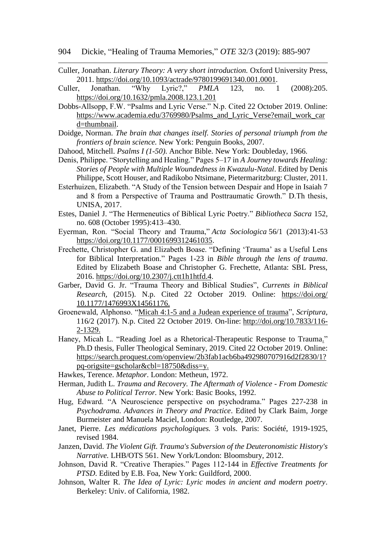- Culler, Jonathan. *Literary Theory: A very short introduction.* Oxford University Press, 2011. [https://doi.org/10.1093/actrade/9780199691340.001.0001.](https://doi.org/10.1093/actrade/9780199691340.001.0001)
- Culler, Jonathan. "Why Lyric?," *PMLA* 123, no. 1 (2008):205. <https://doi.org/10.1632/pmla.2008.123.1.201>
- Dobbs-Allsopp, F.W. "Psalms and Lyric Verse." N.p. Cited 22 October 2019. Online: [https://www.academia.edu/3769980/Psalms\\_and\\_Lyric\\_Verse?email\\_work\\_car](https://www.academia.edu/3769980/Psalms_and_Lyric_Verse?email_work_card=thumbnail) [d=thumbnail.](https://www.academia.edu/3769980/Psalms_and_Lyric_Verse?email_work_card=thumbnail)
- Doidge, Norman. *The brain that changes itself. Stories of personal triumph from the frontiers of brain science.* New York: Penguin Books, 2007.
- Dahood, Mitchell. *Psalms I (1-50)*. Anchor Bible. New York: Doubleday, 1966.
- Denis, Philippe. "Storytelling and Healing." Pages 5–17 in *A Journey towards Healing: Stories of People with Multiple Woundedness in Kwazulu-Natal*. Edited by Denis Philippe, Scott Houser, and Radikobo Ntsimane, Pietermaritzburg: Cluster, 2011.
- Esterhuizen, Elizabeth. "A Study of the Tension between Despair and Hope in Isaiah 7 and 8 from a Perspective of Trauma and Posttraumatic Growth." D.Th thesis, UNISA, 2017.
- Estes, Daniel J. "The Hermeneutics of Biblical Lyric Poetry." *Bibliotheca Sacra* 152, no. 608 (October 1995):413–430.
- Eyerman, Ron. "Social Theory and Trauma," *Acta Sociologica* 56/1 (2013):41-53 [https://doi.org/10.1177/0001699312461035.](https://doi.org/10.1177/0001699312461035)
- Frechette, Christopher G. and Elizabeth Boase. "Defining 'Trauma' as a Useful Lens for Biblical Interpretation." Pages 1-23 in *Bible through the lens of trauma*. Edited by Elizabeth Boase and Christopher G. Frechette, Atlanta: SBL Press, 2016. [https://doi.org/10.2307/j.ctt1h1htfd.4.](https://doi.org/10.2307/j.ctt1h1htfd.4)
- [Garber, David G. Jr.](https://journals.sagepub.com/doi/abs/10.1177/1476993X14561176) "Trauma Theory and Biblical Studies", *Currents in Biblical Research,* (2015). N.p. Cited 22 October 2019. Online: [https://doi.org/](https://doi.org/%2010.1177/1476993X14561176)  [10.1177/1476993X14561176.](https://doi.org/%2010.1177/1476993X14561176)
- Groenewald, Alphonso. ["Micah 4:1-5 and a Judean experience of trauma"](http://www.scielo.org.za/scielo.php?script=sci_arttext&pid=S2305-445X2017000100015), *Scriptura*, 116/2 (2017). N.p. Cited 22 October 2019. On-line: [http://doi.org/10.7833/116-](http://doi.org/10.7833/116-2-1329) [2-1329.](http://doi.org/10.7833/116-2-1329)
- Haney, Micah L. "Reading Joel as a Rhetorical-Therapeutic Response to Trauma." Ph.D thesis, Fuller Theological Seminary, 2019. Cited 22 October 2019. Online: [https://search.proquest.com/openview/2b3fab1acb6ba492980707916d2f2830/1?](https://search.proquest.com/openview/2b3fab1acb6ba492980707916d2f2830/1?pq-origsite=gscholar&cbl=18750&diss=y) [pq-origsite=gscholar&cbl=18750&diss=y.](https://search.proquest.com/openview/2b3fab1acb6ba492980707916d2f2830/1?pq-origsite=gscholar&cbl=18750&diss=y)
- Hawkes, Terence. *Metaphor*. London: Metheun, 1972.
- Herman, Judith L. *Trauma and Recovery. The Aftermath of Violence - From Domestic Abuse to Political Terror.* New York: Basic Books, 1992.
- Hug, Edward. "A Neuroscience perspective on psychodrama." Pages 227-238 in *Psychodrama. Advances in Theory and Practice*. Edited by Clark Baim, Jorge Burmeister and Manuela Maciel, London: Routledge, 2007.
- Janet, Pierre. *Les médications psychologiques.* 3 vols. Paris: Société, 1919-1925, revised 1984.
- Janzen, David. *The Violent Gift. Trauma's Subversion of the Deuteronomistic History's Narrative.* LHB/OTS 561. New York/London: Bloomsbury, 2012.
- Johnson, David R. "Creative Therapies." Pages 112-144 in *Effective Treatments for PTSD*. Edited by E.B. Foa, New York: Guildford, 2000.
- Johnson, Walter R. *The Idea of Lyric: Lyric modes in ancient and modern poetry*. Berkeley: Univ. of California, 1982.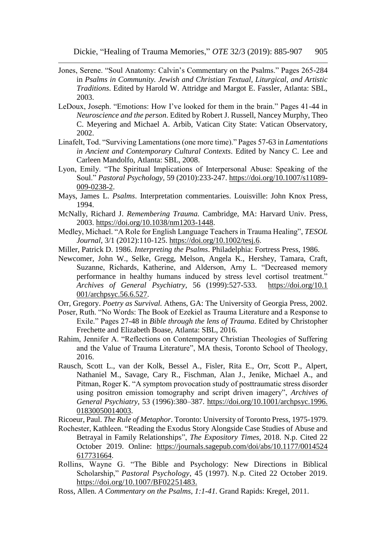- Jones, Serene. "Soul Anatomy: Calvin's Commentary on the Psalms." Pages 265-284 in *Psalms in Community. Jewish and Christian Textual, Liturgical, and Artistic Traditions*. Edited by Harold W. Attridge and Margot E. Fassler, Atlanta: SBL, 2003.
- LeDoux, Joseph. "Emotions: How I've looked for them in the brain." Pages 41-44 in *Neuroscience and the person*. Edited by Robert J. Russell, Nancey Murphy, Theo C. Meyering and Michael A. Arbib, Vatican City State: Vatican Observatory, 2002.
- Linafelt, Tod. "Surviving Lamentations (one more time)." Pages 57-63 in *Lamentations in Ancient and Contemporary Cultural Contexts*. Edited by Nancy C. Lee and Carleen Mandolfo, Atlanta: SBL, 2008.
- Lyon, Emily. "The Spiritual Implications of Interpersonal Abuse: Speaking of the Soul." *Pastoral Psychology*, 59 (2010):233-247. [https://doi.org/10.1007/s11089-](https://doi.org/10.1007/s11089-009-0238-2) [009-0238-2.](https://doi.org/10.1007/s11089-009-0238-2)
- Mays, James L. *Psalms*. Interpretation commentaries. Louisville: John Knox Press, 1994.
- McNally, Richard J. *Remembering Trauma.* Cambridge, MA: Harvard Univ. Press, 2003. [https://doi.org/10.1038/nm1203-1448.](https://doi.org/10.1038/nm1203-1448)
- Medley, Michael. "A Role for English Language Teachers in Trauma Healing", *TESOL Journal*, 3/1 (2012):110-125. [https://doi.org/10.1002/tesj.6.](https://doi.org/10.1002/tesj.6)
- Miller, Patrick D. 1986. *Interpreting the Psalms*. Philadelphia: Fortress Press, 1986.
- Newcomer, John W., Selke, Gregg, Melson, Angela K., Hershey, Tamara, Craft, Suzanne, Richards, Katherine, and Alderson, Arny L. "Decreased memory performance in healthy humans induced by stress level cortisol treatment." *Archives of General Psychiatry*, 56 (1999):527-533. [https://doi.org/10.1](https://doi.org/10.1%20001/archpsyc.56.6.527)  [001/archpsyc.56.6.527.](https://doi.org/10.1%20001/archpsyc.56.6.527)
- Orr, Gregory. *Poetry as Survival.* Athens, GA: The University of Georgia Press, 2002.
- Poser, Ruth. "No Words: The Book of Ezekiel as Trauma Literature and a Response to Exile." Pages 27-48 in *Bible through the lens of Trauma*. Edited by Christopher Frechette and Elizabeth Boase, Atlanta: SBL, 2016.
- Rahim, Jennifer A. "Reflections on Contemporary Christian Theologies of Suffering and the Value of Trauma Literature", MA thesis, Toronto School of Theology, 2016.
- Rausch, Scott L., van der Kolk, Bessel A., Fisler, Rita E., Orr, Scott P., Alpert, Nathaniel M., Savage, Cary R., Fischman, Alan J., Jenike, Michael A., and Pitman, Roger K. "A symptom provocation study of posttraumatic stress disorder using positron emission tomography and script driven imagery", *Archives of General Psychiatry,* 53 (1996):380–387. [https://doi.org/10.1001/archpsyc.1996.](https://doi.org/10.1001/archpsyc.1996.%2001830050014003)  [01830050014003.](https://doi.org/10.1001/archpsyc.1996.%2001830050014003)

Ricoeur, Paul. *The Rule of Metaphor*. Toronto: University of Toronto Press, 1975-1979.

- Rochester, Kathleen. "Reading the Exodus Story Alongside Case Studies of Abuse and Betrayal in Family Relationships", *The Expository Times*, 2018. N.p. Cited 22 October 2019. Online: [https://journals.sagepub.com/doi/abs/10.1177/0014524](https://journals.sagepub.com/doi/abs/10.1177/0014524%20617731664)  [617731664.](https://journals.sagepub.com/doi/abs/10.1177/0014524%20617731664)
- Rollins, Wayne G. "The Bible and Psychology: New Directions in Biblical Scholarship," *Pastoral Psychology*, 45 (1997). N.p. Cited 22 October 2019. [https://doi.org/10.1007/BF02251483.](https://doi.org/10.1007/BF02251483)
- Ross, Allen. *A Commentary on the Psalms, 1:1-41.* Grand Rapids: Kregel, 2011.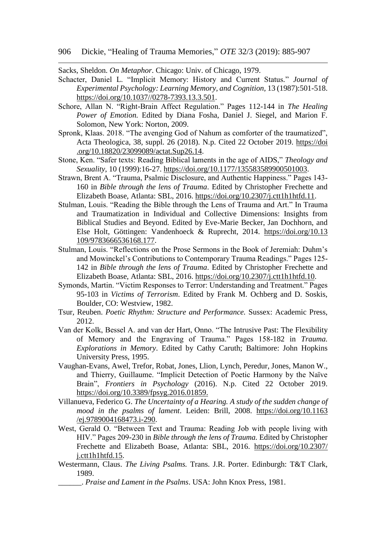Sacks, Sheldon. *On Metaphor*. Chicago: Univ. of Chicago, 1979.

- Schacter, Daniel L. "Implicit Memory: History and Current Status*.*" *Journal of Experimental Psychology: Learning Memory, and Cognition,* 13 (1987):501-518. [https://doi.org/10.1037//0278-7393.13.3.501.](https://doi.org/10.1037/0278-7393.13.3.501)
- Schore, Allan N. "Right-Brain Affect Regulation." Pages 112-144 in *The Healing Power of Emotion.* Edited by Diana Fosha, Daniel J. Siegel, and Marion F. Solomon, New York: Norton, 2009.
- Spronk, Klaas. 2018. "The avenging God of Nahum as comforter of the traumatized", Acta Theologica, 38, suppl. 26 (2018). N.p. Cited 22 October 2019. [https://doi](https://doi.org/10.18820/23099089/actat.Sup26.14)  [.org/10.18820/23099089/actat.Sup26.14.](https://doi.org/10.18820/23099089/actat.Sup26.14)
- Stone, Ken. "Safer texts: Reading Biblical laments in the age of AIDS," *Theology and Sexuality*, 10 (1999):16-27. [https://doi.org/10.1177/135583589900501003.](https://doi.org/10.1177/135583589900501003)
- Strawn, Brent A. "Trauma, Psalmic Disclosure, and Authentic Happiness." Pages 143- 160 in *Bible through the lens of Trauma*. Edited by Christopher Frechette and Elizabeth Boase, Atlanta: SBL, 2016. [https://doi.org/10.2307/j.ctt1h1htfd.11.](https://doi.org/10.2307/j.ctt1h1htfd.11)
- Stulman, Louis. "Reading the Bible through the Lens of Trauma and Art." In Trauma and Traumatization in Individual and Collective Dimensions: Insights from Biblical Studies and Beyond. Edited by Eve-Marie Becker, Jan Dochhorn, and Else Holt, Göttingen: Vandenhoeck & Ruprecht, 2014. [https://doi.org/10.13](https://doi.org/10.13%20109/9783666536168.177)  [109/9783666536168.177.](https://doi.org/10.13%20109/9783666536168.177)
- Stulman, Louis. "Reflections on the Prose Sermons in the Book of Jeremiah: Duhm's and Mowinckel's Contributions to Contemporary Trauma Readings." Pages 125- 142 in *Bible through the lens of Trauma*. Edited by Christopher Frechette and Elizabeth Boase, Atlanta: SBL, 2016. [https://doi.org/10.2307/j.ctt1h1htfd.10.](https://doi.org/10.2307/j.ctt1h1htfd.10)
- Symonds, Martin. "Victim Responses to Terror: Understanding and Treatment." Pages 95-103 in *Victims of Terrorism*. Edited by Frank M. Ochberg and D. Soskis, Boulder, CO: Westview, 1982.
- Tsur, Reuben. *Poetic Rhythm: Structure and Performance.* Sussex: Academic Press, 2012.
- Van der Kolk, Bessel A. and van der Hart, Onno. "The Intrusive Past: The Flexibility of Memory and the Engraving of Trauma." Pages 158-182 in *Trauma. Explorations in Memory*. Edited by Cathy Caruth; Baltimore: John Hopkins University Press, 1995.
- Vaughan-Evans, Awel, Trefor, Robat, Jones, Llion, Lynch, Peredur, Jones, Manon W., and Thierry, Guillaume. "Implicit Detection of Poetic Harmony by the Naïve Brain", *Frontiers in Psychology* (2016). N.p. Cited 22 October 2019. [https://doi.org/10.3389/fpsyg.2016.01859.](https://doi.org/10.3389/fpsyg.2016.01859)
- Villanueva, Federico G. *The Uncertainty of a Hearing. A study of the sudden change of mood in the psalms of lament*. Leiden: Brill, 2008. [https://doi.org/10.1163](https://doi.org/10.1163%20/ej.9789004168473.i-290)  [/ej.9789004168473.i-290.](https://doi.org/10.1163%20/ej.9789004168473.i-290)
- West, Gerald O. "Between Text and Trauma: Reading Job with people living with HIV." Pages 209-230 in *Bible through the lens of Trauma.* Edited by Christopher Frechette and Elizabeth Boase, Atlanta: SBL, 2016. [https://doi.org/10.2307/](https://doi.org/10.2307/%20j.ctt1h1htfd.15)  [j.ctt1h1htfd.15.](https://doi.org/10.2307/%20j.ctt1h1htfd.15)
- Westermann, Claus. *The Living Psalms.* Trans. J.R. Porter. Edinburgh: T&T Clark, 1989.

\_\_\_\_\_\_. *Praise and Lament in the Psalms*. USA: John Knox Press, 1981.